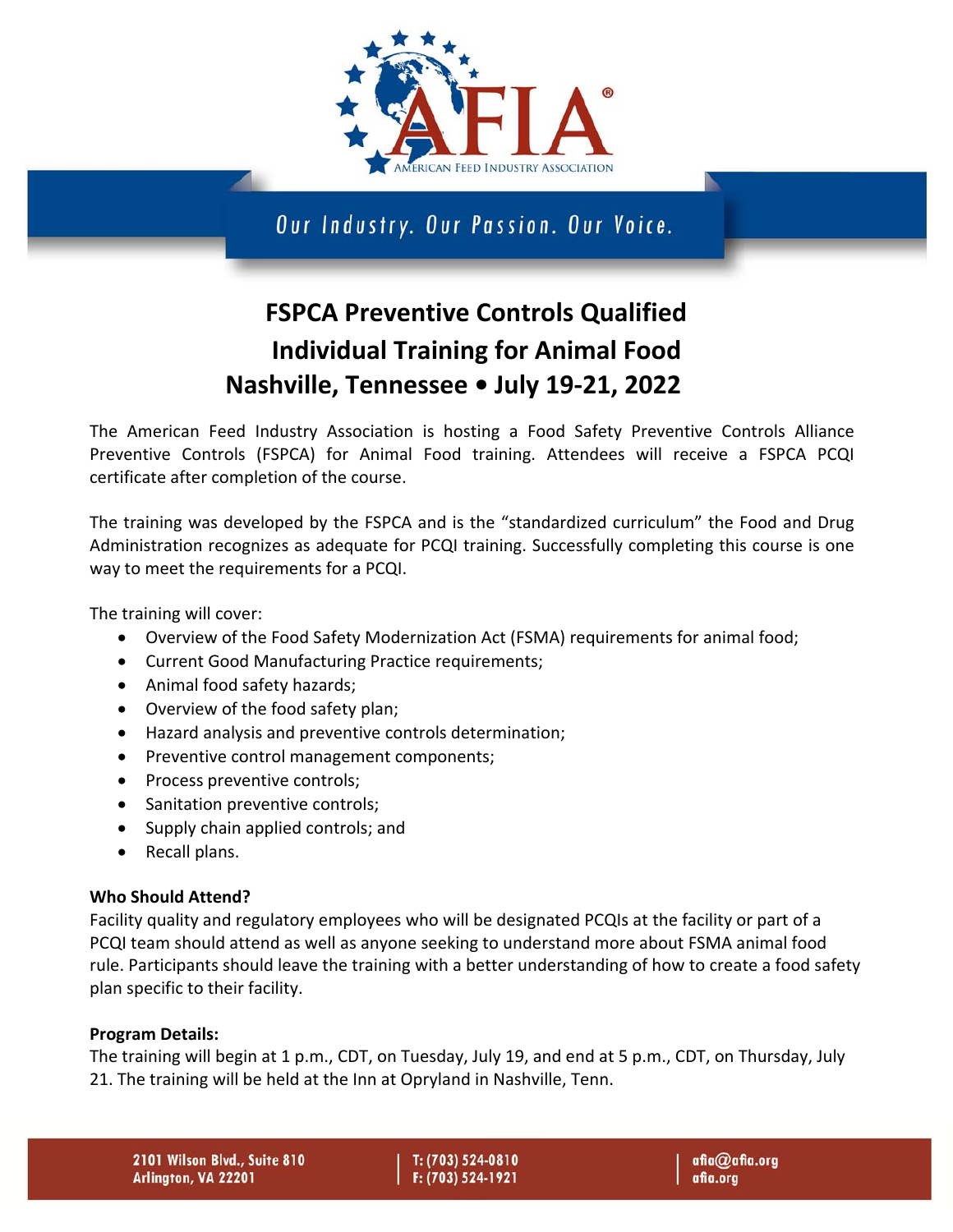

Our Industry. Our Passion. Our Voice.

# **FSPCA Preventive Controls Qualified Individual Training for Animal Food Nashville, Tennessee • July 19-21, 2022**

The American Feed Industry Association is hosting a Food Safety Preventive Controls Alliance Preventive Controls (FSPCA) for Animal Food training. Attendees will receive a FSPCA PCQI certificate after completion of the course.

The training was developed by the FSPCA and is the "standardized curriculum" the Food and Drug Administration recognizes as adequate for PCQI training. Successfully completing this course is one way to meet the requirements for a PCQI.

The training will cover:

- Overview of the Food Safety Modernization Act (FSMA) requirements for animal food;
- Current Good Manufacturing Practice requirements;
- Animal food safety hazards;
- Overview of the food safety plan;
- Hazard analysis and preventive controls determination;
- Preventive control management components;
- Process preventive controls;
- Sanitation preventive controls;
- Supply chain applied controls; and
- Recall plans.

### **Who Should Attend?**

Facility quality and regulatory employees who will be designated PCQIs at the facility or part of a PCQI team should attend as well as anyone seeking to understand more about FSMA animal food rule. Participants should leave the training with a better understanding of how to create a food safety plan specific to their facility.

### **Program Details:**

The training will begin at 1 p.m., CDT, on Tuesday, July 19, and end at 5 p.m., CDT, on Thursday, July 21. The training will be held at the Inn at Opryland in Nashville, Tenn.

T: (703) 524-0810 F: (703) 524-1921 afia@afia.org afia.org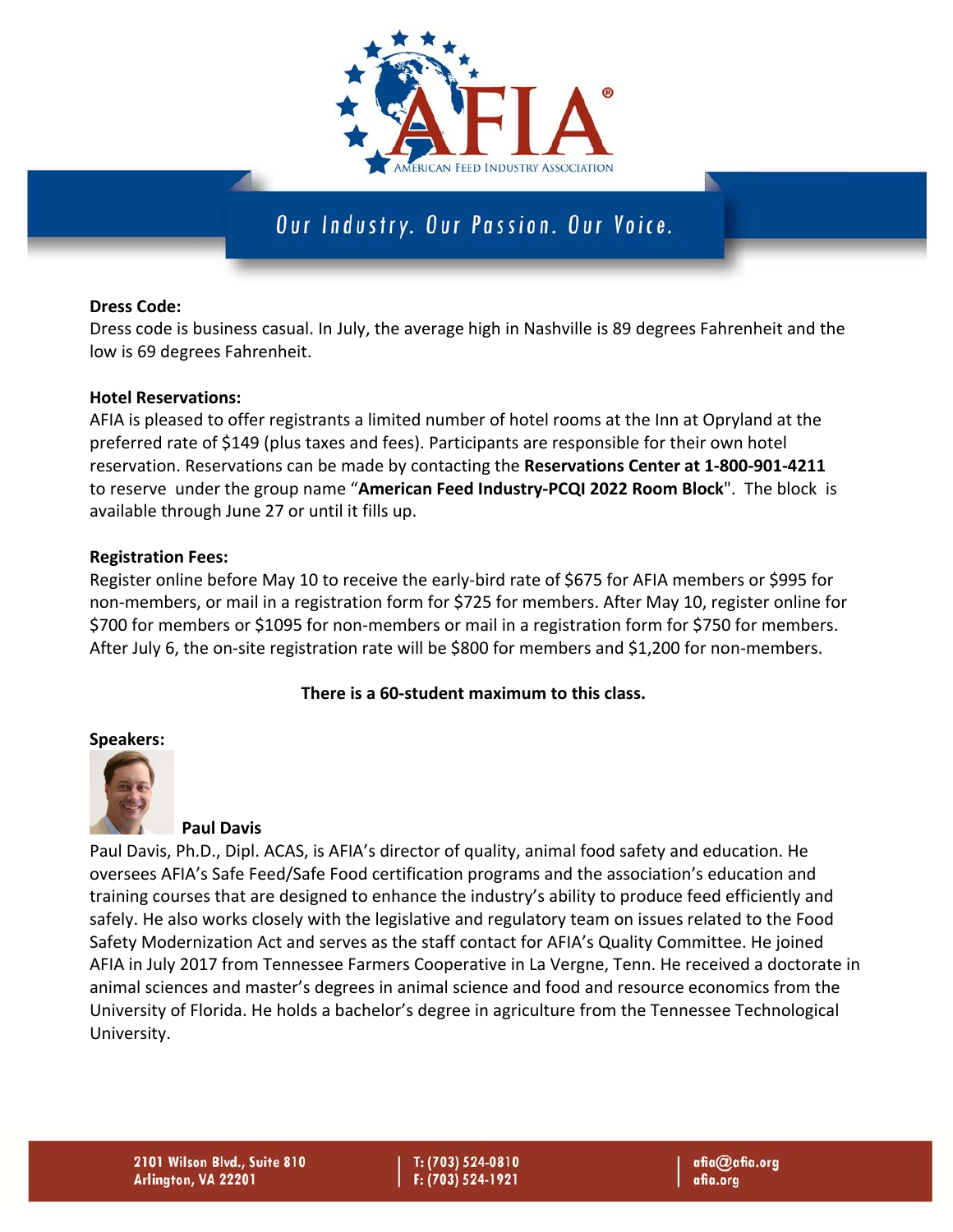

### Our Industry. Our Passion. Our Voice.

### **Dress Code:**

Dress code is business casual. In July, the average high in Nashville is 89 degrees Fahrenheit and the low is 69 degrees Fahrenheit.

### **Hotel Reservations:**

AFIA is pleased to offer registrants a limited number of hotel rooms at the Inn at Opryland at the preferred rate of \$149 (plus taxes and fees). Participants are responsible for their own hotel reservation. Reservations can be made by contacting the **Reservations Center at 1-800-901-4211**  to reserve under the group name "**American Feed Industry-PCQI 2022 Room Block**". The block is available through June 27 or until it fills up.

### **Registration Fees:**

Register online before May 10 to receive the early‐bird rate of \$675 for AFIA members or \$995 for non‐members, or mail in a registration form for \$725 for members. After May 10, register online for \$700 for members or \$1095 for non‐members or mail in a registration form for \$750 for members. After July 6, the on-site registration rate will be \$800 for members and \$1,200 for non‐members.

### **There is a 60-student maximum to this class.**

### **Speakers:**



### **Paul Davis**

Paul Davis, Ph.D., Dipl. ACAS, is AFIA's director of quality, animal food safety and education. He oversees AFIA's Safe Feed/Safe Food certification programs and the association's education and training courses that are designed to enhance the industry's ability to produce feed efficiently and safely. He also works closely with the legislative and regulatory team on issues related to the Food Safety Modernization Act and serves as the staff contact for AFIA's Quality Committee. He joined AFIA in July 2017 from Tennessee Farmers Cooperative in La Vergne, Tenn. He received a doctorate in animal sciences and master's degrees in animal science and food and resource economics from the University of Florida. He holds a bachelor's degree in agriculture from the Tennessee Technological University.

2101 Wilson Blvd., Suite 810 Arlington, VA 22201

T: (703) 524-0810 F: (703) 524-1921

afia@afia.org afia.org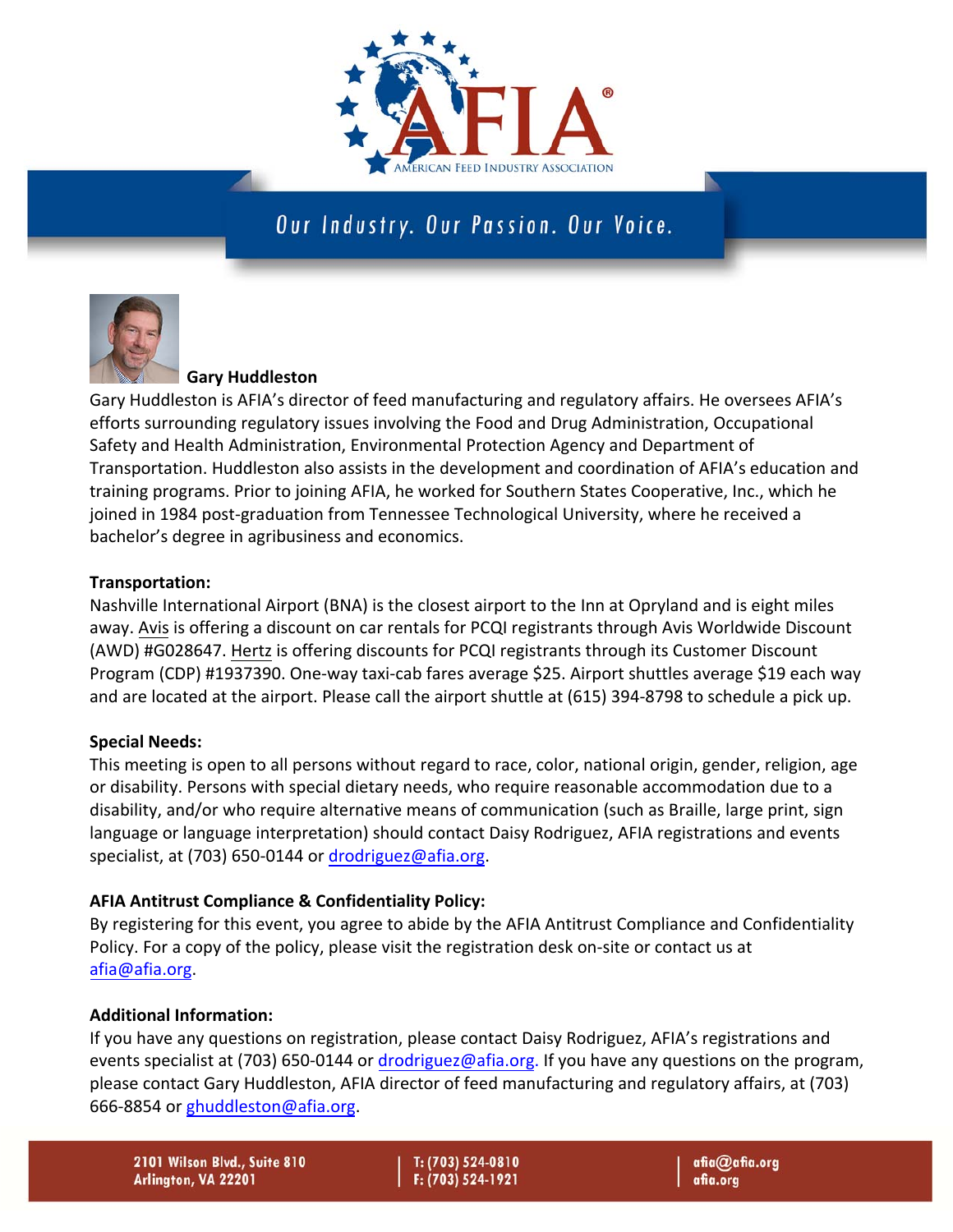

### Our Industry. Our Passion. Our Voice.



### **Gary Huddleston**

Gary Huddleston is AFIA's director of feed manufacturing and regulatory affairs. He oversees AFIA's efforts surrounding regulatory issues involving the Food and Drug Administration, Occupational Safety and Health Administration, Environmental Protection Agency and Department of Transportation. Huddleston also assists in the development and coordination of AFIA's education and training programs. Prior to joining AFIA, he worked for Southern States Cooperative, Inc., which he joined in 1984 post-graduation from Tennessee Technological University, where he received a bachelor's degree in agribusiness and economics.

### **Transportation:**

Nashville International Airport (BNA) is the closest airport to the Inn at Opryland and is eight miles away. Avis is offering a discount on car rentals for PCQI registrants through Avis Worldwide Discount (AWD) #G028647. Hertz is offering discounts for PCQI registrants through its Customer Discount Program (CDP) #1937390. One‐way taxi‐cab fares average \$25. Airport shuttles average \$19 each way and are located at the airport. Please call the airport shuttle at (615) 394‐8798 to schedule a pick up.

### **Special Needs:**

This meeting is open to all persons without regard to race, color, national origin, gender, religion, age or disability. Persons with special dietary needs, who require reasonable accommodation due to a disability, and/or who require alternative means of communication (such as Braille, large print, sign language or language interpretation) should contact Daisy Rodriguez, AFIA registrations and events specialist, at (703) 650-0144 or drodriguez@afia.org.

### **AFIA Antitrust Compliance & Confidentiality Policy:**

By registering for this event, you agree to abide by the AFIA Antitrust Compliance and Confidentiality Policy. For a copy of the policy, please visit the registration desk on‐site or contact us at afia@afia.org.

### **Additional Information:**

If you have any questions on registration, please contact Daisy Rodriguez, AFIA's registrations and events specialist at (703) 650-0144 or drodriguez@afia.org. If you have any questions on the program, please contact Gary Huddleston, AFIA director of feed manufacturing and regulatory affairs, at (703) 666‐8854 or ghuddleston@afia.org.

2101 Wilson Blvd., Suite 810 Arlington, VA 22201

T: (703) 524-0810 F: (703) 524-1921 afia@afia.org afia.org